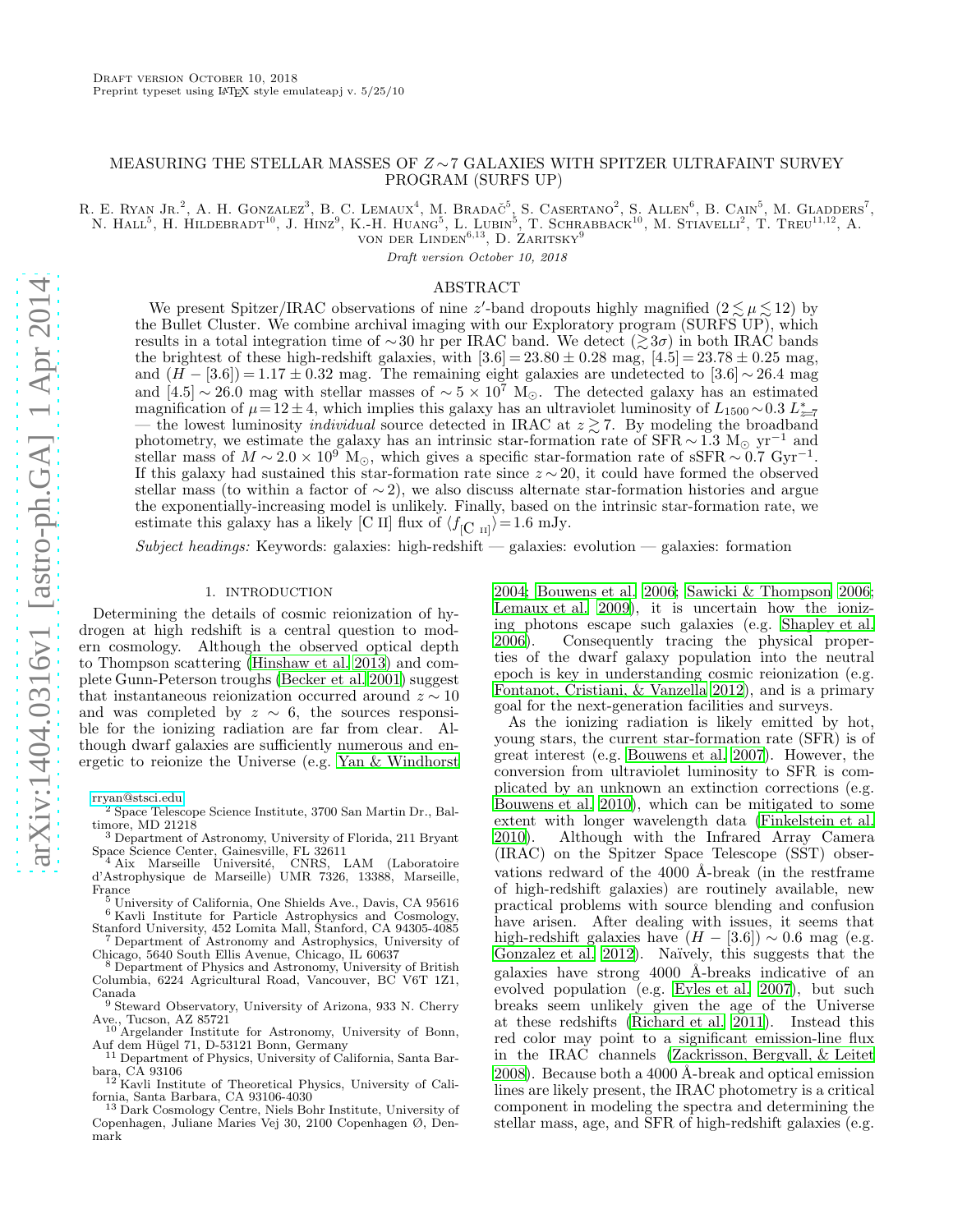# MEASURING THE STELLAR MASSES OF Z ∼7 GALAXIES WITH SPITZER ULTRAFAINT SURVEY PROGRAM (SURFS UP)

R. E. RYAN JR.<sup>2</sup>, A. H. GONZALEZ<sup>3</sup>, B. C. LEMAUX<sup>4</sup>, M. BRADAČ<sup>5</sup>, S. CASERTANO<sup>2</sup>, S. ALLEN<sup>6</sup>, B. CAIN<sup>5</sup>, M. GLADDERS<sup>7</sup>, N. HALL<sup>5</sup>, H. HILDEBRADT<sup>10</sup>, J. HINZ<sup>9</sup>, K.-H. HUANG<sup>5</sup>, L. LUBIN<sup>5</sup>, T. SCHRABBACK<sup>10</sup>, M. STIAVELLI<sup>2</sup>, T. TREU<sup>11,12</sup>, A.

von der Linden<sup>6,13</sup>, D. Zaritsky<sup>9</sup>

Draft version October 10, 2018

# ABSTRACT

We present Spitzer/IRAC observations of nine z'-band dropouts highly magnified  $(2 \lesssim \mu \lesssim 12)$  by the Bullet Cluster. We combine archival imaging with our Exploratory program (SURFS UP), which results in a total integration time of ∼30 hr per IRAC band. We detect ( $\gtrsim 3\sigma$ ) in both IRAC bands the brightest of these high-redshift galaxies, with  $[3.6] = 23.80 \pm 0.28$  mag,  $[4.5] = 23.78 \pm 0.25$  mag, and  $(H - [3.6]) = 1.17 \pm 0.32$  mag. The remaining eight galaxies are undetected to  $[3.6] \sim 26.4$  mag and [4.5] ∼ 26.0 mag with stellar masses of  $\sim 5 \times 10^7$  M<sub>☉</sub>. The detected galaxy has an estimated magnification of  $\mu = 12 \pm 4$ , which implies this galaxy has an ultraviolet luminosity of  $L_{1500} \sim 0.3 L_{z=7}^*$ the lowest luminosity *individual* source detected in IRAC at  $z \gtrsim 7$ . By modeling the broadband photometry, we estimate the galaxy has an intrinsic star-formation rate of SFR  $\sim 1.3 \text{ M}_{\odot} \text{ yr}^{-1}$  and stellar mass of  $M \sim 2.0 \times 10^{9}$  M<sub>☉</sub>, which gives a specific star-formation rate of sSFR  $\sim 0.7$  Gyr<sup>-1</sup>. If this galaxy had sustained this star-formation rate since  $z \sim 20$ , it could have formed the observed stellar mass (to within a factor of ∼ 2), we also discuss alternate star-formation histories and argue the exponentially-increasing model is unlikely. Finally, based on the intrinsic star-formation rate, we estimate this galaxy has a likely [C II] flux of  $\langle f_{\rm [C \ I I]} \rangle = 1.6 \text{ mJy.}$ 

Subject headings: Keywords: galaxies: high-redshift — galaxies: evolution — galaxies: formation

### 1. INTRODUCTION

Determining the details of cosmic reionization of hydrogen at high redshift is a central question to modern cosmology. Although the observed optical depth to Thompson scattering [\(Hinshaw et al. 2013\)](#page-4-0) and complete Gunn-Peterson troughs [\(Becker et al. 2001\)](#page-4-1) suggest that instantaneous reionization occurred around  $z \sim 10$ and was completed by  $z \sim 6$ , the sources responsible for the ionizing radiation are far from clear. Although dwarf galaxies are sufficiently numerous and energetic to reionize the Universe (e.g. [Yan & Windhorst](#page-5-0)

[rryan@stsci.edu](mailto:rryan@stsci.edu)

<sup>3</sup> Department of Astronomy, University of Florida, 211 Bryant <sup>3</sup> Department or Astronomy, Carrollon, FL 32611<br>Space Science Center, Gainesville, FL 32611<br><sup>4</sup> Aiv Marseille Université, CNRS, LAM

<sup>4</sup> Aix Marseille Université, CNRS, LAM (Laboratoire d'Astrophysique de Marseille) UMR 7326, 13388, Marseille, France

<sup>5</sup> University of California, One Shields Ave., Davis, CA 95616 <sup>6</sup> Kavli Institute for Particle Astrophysics and Cosmology,

Stanford University, 452 Lomita Mall, Stanford, CA 94305-4085 <sup>7</sup> Department of Astronomy and Astrophysics, University of

Chicago, 5640 South Ellis Avenue, Chicago, IL 60637 <sup>8</sup> Department of Physics and Astronomy, University of British Columbia, 6224 Agricultural Road, Vancouver, BC V6T 1Z1, Canada

<sup>9</sup> Steward Observatory, University of Arizona, 933 N. Cherry

Ave., Tucson, AZ 85721 <sup>10</sup> Argelander Institute for Astronomy, University of Bonn,

Auf dem Hügel 71, D-53121 Bonn, Germany<br><sup>11</sup> Department of Physics, University of California, Santa Bar-

bara, CA 93106 <sup>12</sup> Kavli Institute of Theoretical Physics, University of California, Santa Barbara, CA 93106-4030

<sup>13</sup> Dark Cosmology Centre, Niels Bohr Institute, University of Copenhagen, Juliane Maries Vej 30, 2100 Copenhagen Ø, Denmark

[2004;](#page-5-0) [Bouwens et al. 2006;](#page-4-2) [Sawicki & Thompson 2006](#page-5-1); [Lemaux et al. 2009\)](#page-4-3), it is uncertain how the ionizing photons escape such galaxies (e.g. [Shapley et al.](#page-5-2) [2006\)](#page-5-2). Consequently tracing the physical properties of the dwarf galaxy population into the neutral epoch is key in understanding cosmic reionization (e.g. [Fontanot, Cristiani, & Vanzella 2012\)](#page-4-4), and is a primary goal for the next-generation facilities and surveys.

As the ionizing radiation is likely emitted by hot, young stars, the current star-formation rate (SFR) is of great interest (e.g. [Bouwens et al. 2007\)](#page-4-5). However, the conversion from ultraviolet luminosity to SFR is complicated by an unknown an extinction corrections (e.g. [Bouwens et al. 2010\)](#page-4-6), which can be mitigated to some extent with longer wavelength data [\(Finkelstein et al.](#page-4-7) [2010\)](#page-4-7). Although with the Infrared Array Camera (IRAC) on the Spitzer Space Telescope (SST) observations redward of the  $4000$  Å-break (in the restframe of high-redshift galaxies) are routinely available, new practical problems with source blending and confusion have arisen. After dealing with issues, it seems that high-redshift galaxies have  $(H - [3.6]) \sim 0.6$  mag (e.g. [Gonzalez et al. 2012\)](#page-4-8). Naïvely, this suggests that the galaxies have strong 4000 Å-breaks indicative of an evolved population (e.g. [Eyles et al. 2007\)](#page-4-9), but such breaks seem unlikely given the age of the Universe at these redshifts [\(Richard et al. 2011\)](#page-5-3). Instead this red color may point to a significant emission-line flux in the IRAC channels [\(Zackrisson, Bergvall, & Leitet](#page-5-4) [2008\)](#page-5-4). Because both a 4000 Å-break and optical emission lines are likely present, the IRAC photometry is a critical component in modeling the spectra and determining the stellar mass, age, and SFR of high-redshift galaxies (e.g.

<sup>2</sup> Space Telescope Science Institute, 3700 San Martin Dr., Baltimore, MD 21218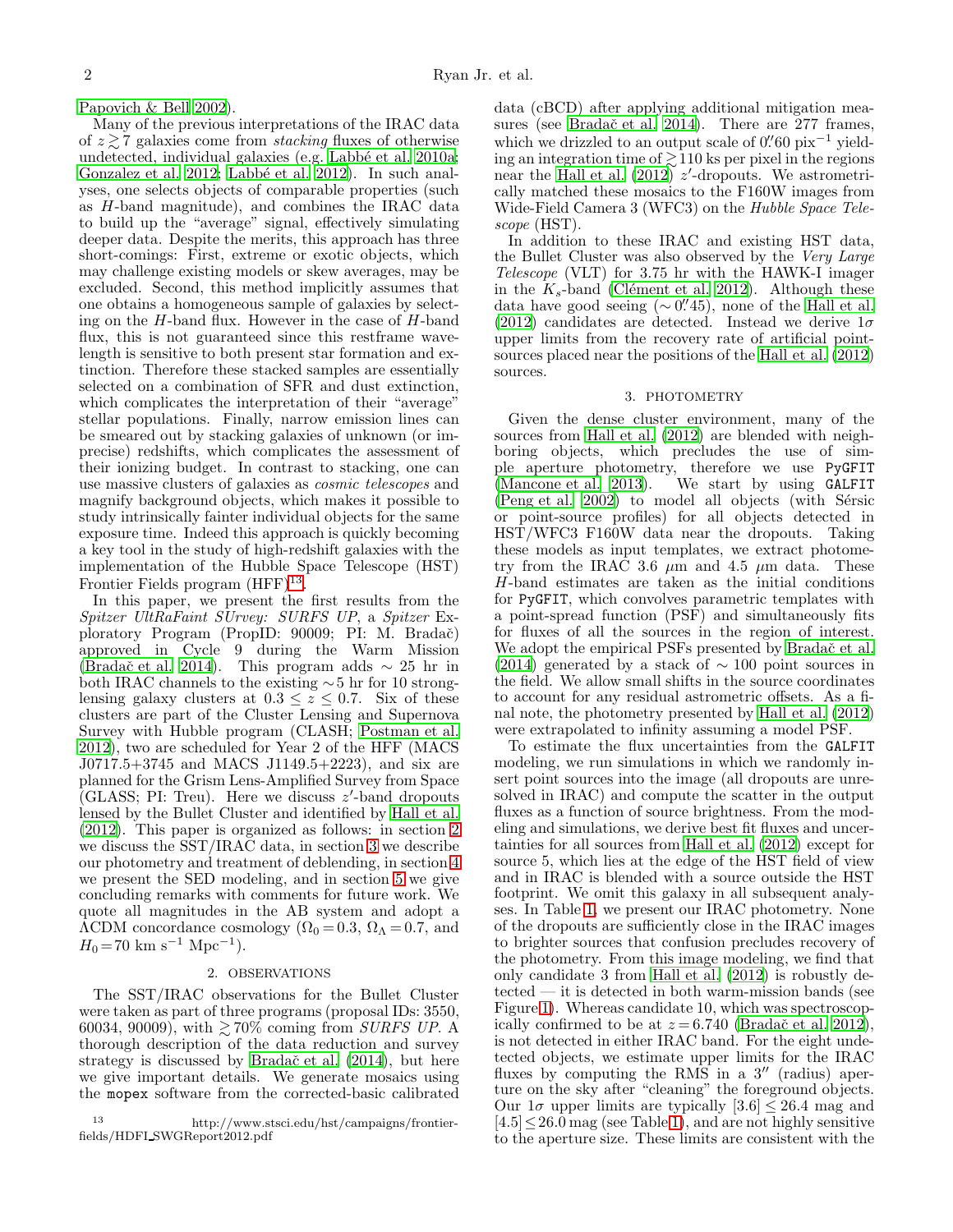[Papovich & Bell 2002](#page-5-5)).

Many of the previous interpretations of the IRAC data of  $z \gtrsim 7$  galaxies come from *stacking* fluxes of otherwise undetected, individual galaxies (e.g. Labbé et al. 2010a; [Gonzalez et al. 2012;](#page-4-8) Labbé et al. 2012). In such analyses, one selects objects of comparable properties (such as H-band magnitude), and combines the IRAC data to build up the "average" signal, effectively simulating deeper data. Despite the merits, this approach has three short-comings: First, extreme or exotic objects, which may challenge existing models or skew averages, may be excluded. Second, this method implicitly assumes that one obtains a homogeneous sample of galaxies by selecting on the  $H$ -band flux. However in the case of  $H$ -band flux, this is not guaranteed since this restframe wavelength is sensitive to both present star formation and extinction. Therefore these stacked samples are essentially selected on a combination of SFR and dust extinction, which complicates the interpretation of their "average" stellar populations. Finally, narrow emission lines can be smeared out by stacking galaxies of unknown (or imprecise) redshifts, which complicates the assessment of their ionizing budget. In contrast to stacking, one can use massive clusters of galaxies as cosmic telescopes and magnify background objects, which makes it possible to study intrinsically fainter individual objects for the same exposure time. Indeed this approach is quickly becoming a key tool in the study of high-redshift galaxies with the implementation of the Hubble Space Telescope (HST) Frontier Fields program  $(HFF)^{13}$  $(HFF)^{13}$  $(HFF)^{13}$ .

In this paper, we present the first results from the Spitzer UltRaFaint SUrvey: SURFS UP, a Spitzer Exploratory Program (PropID: 90009; PI: M. Bradač) approved in Cycle 9 during the Warm Mission [\(Bradaˇc et al. 2014](#page-4-12)). This program adds ∼ 25 hr in both IRAC channels to the existing ∼5 hr for 10 stronglensing galaxy clusters at  $0.3 \le z \le 0.7$ . Six of these clusters are part of the Cluster Lensing and Supernova Survey with Hubble program (CLASH; [Postman et al.](#page-5-6) [2012\)](#page-5-6), two are scheduled for Year 2 of the HFF (MACS J0717.5+3745 and MACS J1149.5+2223), and six are planned for the Grism Lens-Amplified Survey from Space  $\overline{G}(GLASS; PI: True)$ . Here we discuss  $z'$ -band dropouts lensed by the Bullet Cluster and identified by [Hall et al.](#page-4-13) [\(2012\)](#page-4-13). This paper is organized as follows: in section [2](#page-1-1) we discuss the SST/IRAC data, in section [3](#page-1-2) we describe our photometry and treatment of deblending, in section [4](#page-2-0) we present the SED modeling, and in section [5](#page-3-0) we give concluding remarks with comments for future work. We quote all magnitudes in the AB system and adopt a  $\Lambda$ CDM concordance cosmology ( $\Omega_0 = 0.3$ ,  $\Omega_\Lambda = 0.7$ , and  $H_0 = 70 \text{ km s}^{-1} \text{ Mpc}^{-1}.$ 

## 2. OBSERVATIONS

<span id="page-1-1"></span>The SST/IRAC observations for the Bullet Cluster were taken as part of three programs (proposal IDs: 3550, 60034, 90009), with  $\gtrsim 70\%$  coming from *SURFS UP*. A thorough description of the data reduction and survey strategy is discussed by Bradač et al. (2014), but here we give important details. We generate mosaics using the mopex software from the corrected-basic calibrated

<span id="page-1-0"></span><sup>13</sup> http://www.stsci.edu/hst/campaigns/frontierfields/HDFI SWGReport2012.pdf

data (cBCD) after applying additional mitigation measures (see Bradač et al. 2014). There are 277 frames, which we drizzled to an output scale of  $0''60$  pix<sup>-1</sup> yielding an integration time of  $\geq 110$  ks per pixel in the regions near the Hall et al.  $(2012)$  z'-dropouts. We astrometrically matched these mosaics to the F160W images from Wide-Field Camera 3 (WFC3) on the Hubble Space Telescope (HST).

In addition to these IRAC and existing HST data, the Bullet Cluster was also observed by the Very Large Telescope (VLT) for 3.75 hr with the HAWK-I imager in the  $K_s$ -band (Clément et al. 2012). Although these data have good seeing  $( \sim 0.^{\prime\prime}45)$ , none of the [Hall et al.](#page-4-13) [\(2012\)](#page-4-13) candidates are detected. Instead we derive  $1\sigma$ upper limits from the recovery rate of artificial pointsources placed near the positions of the [Hall et al. \(2012](#page-4-13)) sources.

#### 3. PHOTOMETRY

<span id="page-1-2"></span>Given the dense cluster environment, many of the sources from [Hall et al. \(2012\)](#page-4-13) are blended with neighboring objects, which precludes the use of simple aperture photometry, therefore we use PyGFIT [\(Mancone et al. 2013\)](#page-4-15). We start by using GALFIT  $( Peng et al. 2002)$  to model all objects (with Sérsic or point-source profiles) for all objects detected in HST/WFC3 F160W data near the dropouts. Taking these models as input templates, we extract photometry from the IRAC 3.6  $\mu$ m and 4.5  $\mu$ m data. These H-band estimates are taken as the initial conditions for PyGFIT, which convolves parametric templates with a point-spread function (PSF) and simultaneously fits for fluxes of all the sources in the region of interest. We adopt the empirical PSFs presented by Bradač et al. [\(2014\)](#page-4-12) generated by a stack of  $\sim 100$  point sources in the field. We allow small shifts in the source coordinates to account for any residual astrometric offsets. As a final note, the photometry presented by [Hall et al. \(2012](#page-4-13)) were extrapolated to infinity assuming a model PSF.

To estimate the flux uncertainties from the GALFIT modeling, we run simulations in which we randomly insert point sources into the image (all dropouts are unresolved in IRAC) and compute the scatter in the output fluxes as a function of source brightness. From the modeling and simulations, we derive best fit fluxes and uncertainties for all sources from [Hall et al. \(2012](#page-4-13)) except for source 5, which lies at the edge of the HST field of view and in IRAC is blended with a source outside the HST footprint. We omit this galaxy in all subsequent analyses. In Table [1,](#page-2-1) we present our IRAC photometry. None of the dropouts are sufficiently close in the IRAC images to brighter sources that confusion precludes recovery of the photometry. From this image modeling, we find that only candidate 3 from [Hall et al. \(2012\)](#page-4-13) is robustly detected — it is detected in both warm-mission bands (see Figure [1\)](#page-2-2). Whereas candidate 10, which was spectroscopically confirmed to be at  $z = 6.740$  (Bradač et al. 2012), is not detected in either IRAC band. For the eight undetected objects, we estimate upper limits for the IRAC fluxes by computing the RMS in a 3<sup>"</sup> (radius) aperture on the sky after "cleaning" the foreground objects. Our  $1\sigma$  upper limits are typically  $[3.6] \leq 26.4$  mag and  $[4.5] \leq 26.0$  mag (see Table [1\)](#page-2-1), and are not highly sensitive to the aperture size. These limits are consistent with the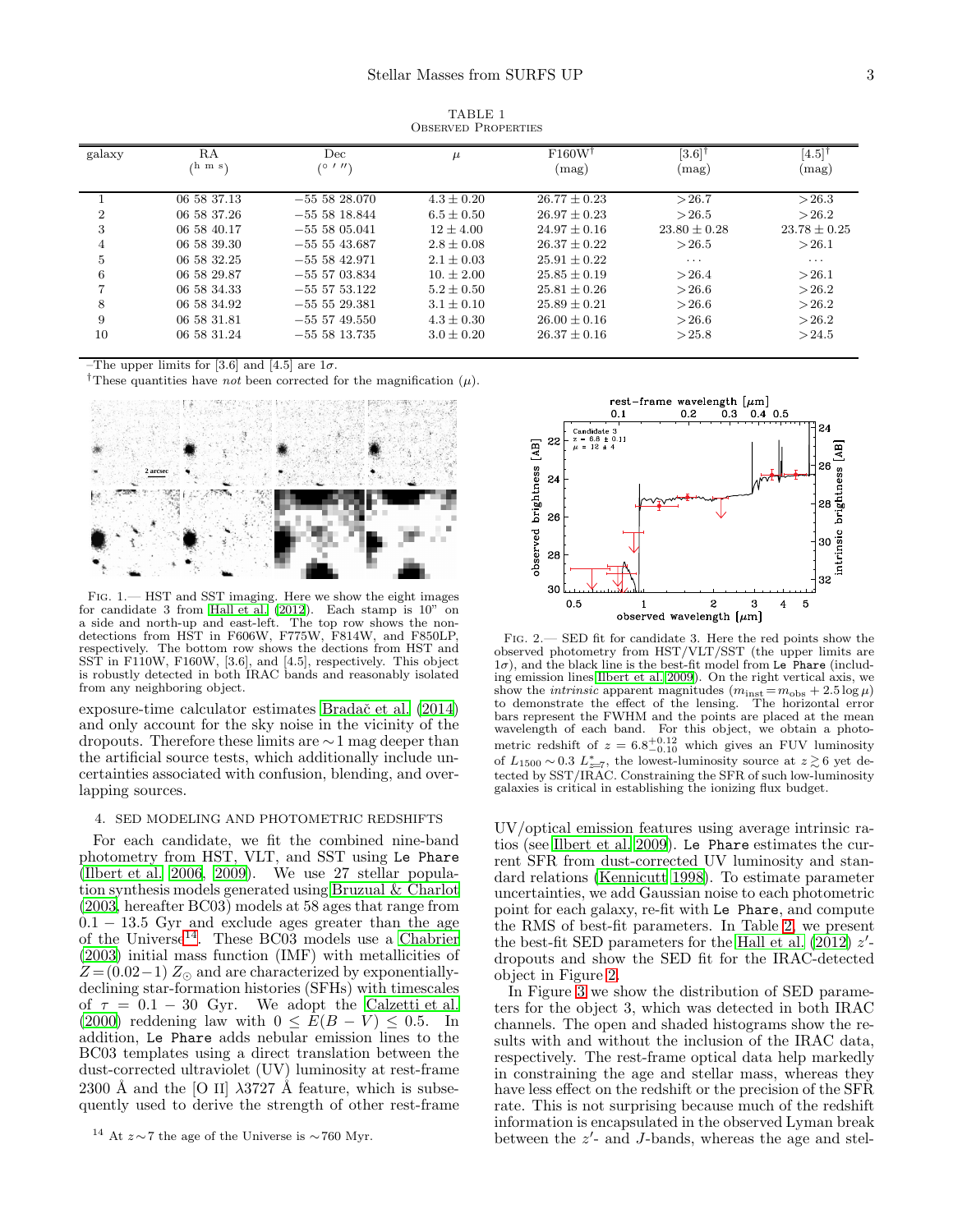<span id="page-2-1"></span>

| galaxy         | RA<br>⁄h m s\ | Dec<br>(0111)   | $\mu$          | F160W<br>(mag)   | [3.6]<br>(mag) | [4.5]<br>(mag) |
|----------------|---------------|-----------------|----------------|------------------|----------------|----------------|
|                | 06 58 37.13   | $-555828.070$   | $4.3 \pm 0.20$ | $26.77 + 0.23$   | >26.7          | >26.3          |
| $\overline{2}$ | 06 58 37.26   | $-5555818.844$  | $6.5 + 0.50$   | $26.97 + 0.23$   | >26.5          | >26.2          |
| 3              | 06 58 40.17   | $-5555805041$   | $12 + 4.00$    | $24.97 + 0.16$   | $23.80 + 0.28$ | $23.78 + 0.25$ |
| 4              | 06 58 39.30   | $-55543.687$    | $2.8 \pm 0.08$ | $26.37 \pm 0.22$ | >26.5          | >26.1          |
| 5              | 06 58 32.25   | $-555842.971$   | $2.1 + 0.03$   | $25.91 + 0.22$   | $\cdots$       | $\cdots$       |
| 6              | 06 58 29.87   | $-555703.834$   | $10. + 2.00$   | $25.85 + 0.19$   | >26.4          | >26.1          |
|                | 06 58 34.33   | $-55$ 57 53.122 | $5.2 + 0.50$   | $25.81 \pm 0.26$ | >26.6          | >26.2          |
| 8              | 06 58 34.92   | $-55529.381$    | $3.1 \pm 0.10$ | $25.89 + 0.21$   | >26.6          | >26.2          |
| 9              | 06 58 31.81   | $-55$ 57 49.550 | $4.3 \pm 0.30$ | $26.00 + 0.16$   | >26.6          | >26.2          |
| 10             | 06 58 31.24   | $-555813.735$   | $3.0 \pm 0.20$ | $26.37 \pm 0.16$ | >25.8          | >24.5          |

TABLE 1 Observed Properties

–The upper limits for [3.6] and [4.5] are  $1\sigma$ .

<sup>†</sup>These quantities have *not* been corrected for the magnification  $(\mu)$ .



<span id="page-2-2"></span>FIG. 1.— HST and SST imaging. Here we show the eight images for candidate 3 from [Hall et al. \(2012](#page-4-13)). Each stamp is 10" on a side and north-up and east-left. The top row shows the nondetections from HST in F606W, F775W, F814W, and F850LP, respectively. The bottom row shows the dections from HST and SST in F110W, F160W, [3.6], and [4.5], respectively. This object is robustly detected in both IRAC bands and reasonably isolated from any neighboring object.

exposure-time calculator estimates [Bradaˇc et al. \(2014](#page-4-12)) and only account for the sky noise in the vicinity of the dropouts. Therefore these limits are ∼1 mag deeper than the artificial source tests, which additionally include uncertainties associated with confusion, blending, and overlapping sources.

# <span id="page-2-0"></span>4. SED MODELING AND PHOTOMETRIC REDSHIFTS

For each candidate, we fit the combined nine-band photometry from HST, VLT, and SST using Le Phare [\(Ilbert et al. 2006,](#page-4-17) [2009](#page-4-18)). We use 27 stellar population synthesis models generated using [Bruzual & Charlot](#page-4-19) [\(2003,](#page-4-19) hereafter BC03) models at 58 ages that range from  $0.1 - 13.5$  Gyr and exclude ages greater than the age of the Universe<sup>[14](#page-2-3)</sup>. These BC03 models use a [Chabrier](#page-4-20) [\(2003\)](#page-4-20) initial mass function (IMF) with metallicities of  $Z = (0.02-1) Z_{\odot}$  and are characterized by exponentiallydeclining star-formation histories (SFHs) with timescales of  $\tau = 0.1 - 30$  Gyr. We adopt the [Calzetti et al.](#page-4-21) [\(2000\)](#page-4-21) reddening law with  $0 \leq E(B-V) \leq 0.5$ . In addition, Le Phare adds nebular emission lines to the BC03 templates using a direct translation between the dust-corrected ultraviolet (UV) luminosity at rest-frame 2300 Å and the [O II]  $\lambda$ 3727 Å feature, which is subsequently used to derive the strength of other rest-frame



<span id="page-2-4"></span>Fig. 2.— SED fit for candidate 3. Here the red points show the observed photometry from HST/VLT/SST (the upper limits are  $1\sigma$ ), and the black line is the best-fit model from Le Phare (including emission lines [Ilbert et al. 2009\)](#page-4-18). On the right vertical axis, we show the *intrinsic* apparent magnitudes  $(m_{inst} = m_{obs} + 2.5 \log \mu)$ to demonstrate the effect of the lensing. The horizontal error bars represent the FWHM and the points are placed at the mean wavelength of each band. For this object, we obtain a photometric redshift of  $z = 6.8^{+0.12}_{-0.10}$  which gives an FUV luminosity of  $L_{1500} \sim 0.3$   $L_{z=7}^{*}$ , the lowest-luminosity source at  $z \gtrsim 6$  yet detected by SST/IRAC. Constraining the SFR of such low-luminosity galaxies is critical in establishing the ionizing flux budget.

UV/optical emission features using average intrinsic ratios (see [Ilbert et al. 2009\)](#page-4-18). Le Phare estimates the current SFR from dust-corrected UV luminosity and standard relations [\(Kennicutt 1998](#page-4-22)). To estimate parameter uncertainties, we add Gaussian noise to each photometric point for each galaxy, re-fit with Le Phare, and compute the RMS of best-fit parameters. In Table [2,](#page-3-1) we present the best-fit SED parameters for the Hall et al.  $(2012)$   $z'$ dropouts and show the SED fit for the IRAC-detected object in Figure [2.](#page-2-4)

In Figure  $\tilde{3}$  we show the distribution of SED parameters for the object 3, which was detected in both IRAC channels. The open and shaded histograms show the results with and without the inclusion of the IRAC data, respectively. The rest-frame optical data help markedly in constraining the age and stellar mass, whereas they have less effect on the redshift or the precision of the SFR rate. This is not surprising because much of the redshift information is encapsulated in the observed Lyman break between the  $z'$ - and J-bands, whereas the age and stel-

<span id="page-2-3"></span><sup>&</sup>lt;sup>14</sup> At  $z \sim 7$  the age of the Universe is ∼760 Myr.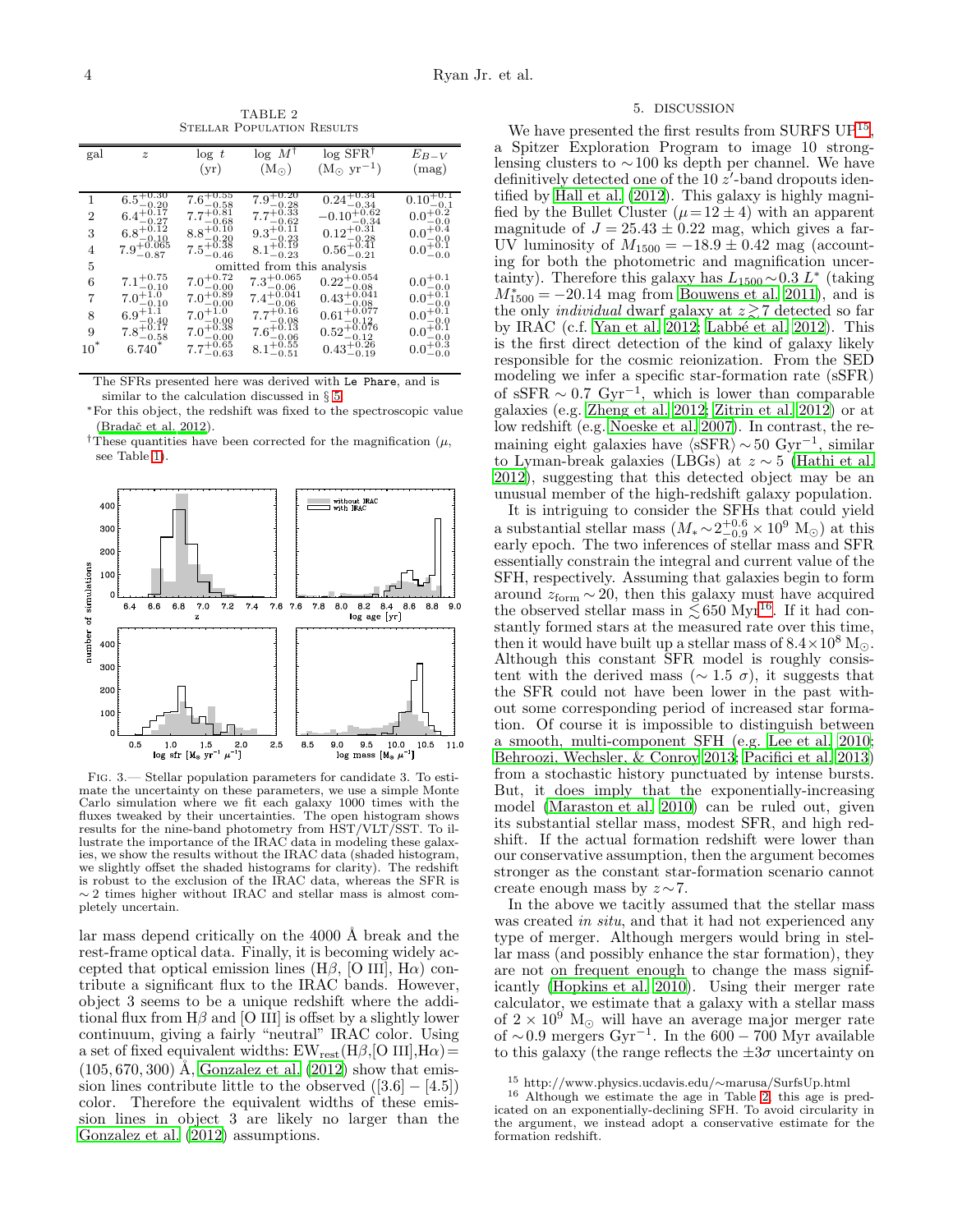TABLE 2 Stellar Population Results

<span id="page-3-1"></span>

| gal    | $\overline{z}$                           | $\log t$                                | $\log M^{\dagger}$               | $\log$ SFR <sup>†</sup>            | $E_{B-V}$                              |
|--------|------------------------------------------|-----------------------------------------|----------------------------------|------------------------------------|----------------------------------------|
|        |                                          | (yr)                                    | (M <sub>o</sub> )                | $(M_{\odot} \text{ yr}^{-1})$      | (mag)                                  |
|        |                                          |                                         |                                  |                                    |                                        |
| 1      | $6.5^{+0.30}_{-0.20}$                    | $7.\overline{6^{+0.55}_{-0.58}}$        | $7.9^{+0.20}_{-0.28}$            | $0.24^{+0.34}_{-0.34}$             | $0.10^{+0.1}_{-0.1}$                   |
| 2      | $6.4^{+0.17}_{-0.27}$                    | $7.7^{+0.81}_{-0.22}$<br>$-0.68$        | $7.7^{+0.33}_{-0.62}$            | $-0.10^{+0.62}_{-0.34}$            | $0.0^{+0.2}_{-0.0}$                    |
| 3      | $6.8^{+\check{0}.\tilde{1}2}$<br>$-0.10$ | $8.8^{+0.10}_{-0.20}$                   | $9.3^{+0.11}_{-0.23}$            | $0.12^{+0.31}_{-0.28}$             | $0.0^{+0.4}_{-0.0}$                    |
| 4      | $7.9^{+0.065}_{-0.87}$                   | $7.5^{+0.38}_{-0.46}$                   | $8.1^{+0.19}_{-0.23}$            | $0.56^{+0.41}_{-0.21}$             | $0.0^{+0.1}_{-0.0}$                    |
| 5      |                                          |                                         | omitted from this                | analysis                           |                                        |
| 6      | $7.1^{+0.75}_{-0.10}$                    | $7.0^{+0.72}_{-0.00}$                   | $7.3^{+0.065}_{-0.06}$           | $0.22^{+0.054}_{-0.08}$            | $0.0^{+0.1}_{-0.0}$                    |
| 7      | $7.0^{+\check{1}.\check{0}}$<br>$-0.10$  | $7.0^{+0.89}_{-0.02}$<br>$-0.00$        | $7.4^{+0.041}_{-0.06}$           | $0.43^{+0.041}_{-0.02}$<br>$-0.08$ | $0.0^{+\check{0}.\check{1}}$<br>$-0.0$ |
| 8      | $6.9^{+\check{1},\check{1}}$<br>$-0.40$  | $7.0^{+\check{1}.\check{0}}$<br>$-0.00$ | $7.7^{+0.16}_{-0.22}$<br>$-0.08$ | $0.61^{+0.077}_{-0.12}$<br>$-0.12$ | $0.0^{+\check{0}.\check{1}}$<br>$-0.0$ |
| 9      | $7.8^{+0.17}_{-0.58}$                    | $7.0^{+0.38}_{-0.00}$                   | $7.6^{+0.13}_{-0.06}$            | $0.52^{+0.076}_{-0.12}$            | $0.0^{+0.1}$<br>$-0.0$                 |
| $10^*$ | $6.740*$                                 | $7.7^{+0.65}_{-0.63}$                   | $8.1^{+0.55}_{-0.51}$            | $0.43^{+0.26}_{-0.19}$             | $0.0^{+0.3}_{-0.0}$                    |

The SFRs presented here was derived with Le Phare, and is similar to the calculation discussed in § [5.](#page-3-0)

<sup>∗</sup>For this object, the redshift was fixed to the spectroscopic value (Bradač et al. 2012).

<sup>†</sup>These quantities have been corrected for the magnification  $(\mu,$ see Table [1\)](#page-2-1).



<span id="page-3-2"></span>Fig. 3.— Stellar population parameters for candidate 3. To estimate the uncertainty on these parameters, we use a simple Monte Carlo simulation where we fit each galaxy 1000 times with the fluxes tweaked by their uncertainties. The open histogram shows results for the nine-band photometry from HST/VLT/SST. To illustrate the importance of the IRAC data in modeling these galaxies, we show the results without the IRAC data (shaded histogram, we slightly offset the shaded histograms for clarity). The redshift is robust to the exclusion of the IRAC data, whereas the SFR is 2 times higher without IRAC and stellar mass is almost completely uncertain.

lar mass depend critically on the 4000 Å break and the rest-frame optical data. Finally, it is becoming widely accepted that optical emission lines (H $\beta$ , [O III], H $\alpha$ ) contribute a significant flux to the IRAC bands. However, object 3 seems to be a unique redshift where the additional flux from  $H\beta$  and [O III] is offset by a slightly lower continuum, giving a fairly "neutral" IRAC color. Using a set of fixed equivalent widths:  $EW_{rest}(H\beta,[O~III],H\alpha) =$  $(105, 670, 300)$  Å, Gonzalez et al.  $(2012)$  show that emission lines contribute little to the observed  $([3.6] - [4.5])$ color. Therefore the equivalent widths of these emission lines in object 3 are likely no larger than the [Gonzalez et al. \(2012\)](#page-4-8) assumptions.

### 5. DISCUSSION

<span id="page-3-0"></span>We have presented the first results from SURFS UP<sup>[15](#page-3-3)</sup>, a Spitzer Exploration Program to image 10 stronglensing clusters to ∼100 ks depth per channel. We have definitively detected one of the  $10\ z'$ -band dropouts identified by [Hall et al. \(2012](#page-4-13)). This galaxy is highly magnified by the Bullet Cluster  $(\mu = 12 \pm 4)$  with an apparent magnitude of  $J = 25.43 \pm 0.22$  mag, which gives a far-UV luminosity of  $M_{1500} = -18.9 \pm 0.42$  mag (accounting for both the photometric and magnification uncertainty). Therefore this galaxy has  $L_{1500} \sim 0.3 L^*$  (taking  $M_{1500}^{*} = -20.14$  mag from [Bouwens et al. 2011\)](#page-4-23), and is the only *individual* dwarf galaxy at  $z \gtrsim 7$  detected so far by IRAC (c.f. Yan et al.  $2012$ ; Labbé et al. 2012). This is the first direct detection of the kind of galaxy likely responsible for the cosmic reionization. From the SED modeling we infer a specific star-formation rate (sSFR) of sSFR  $\sim 0.7 \text{ Gyr}^{-1}$ , which is lower than comparable galaxies (e.g. [Zheng et al. 2012](#page-5-9); [Zitrin et al. 2012\)](#page-5-10) or at low redshift (e.g. [Noeske et al. 2007\)](#page-5-11). In contrast, the remaining eight galaxies have  $\langle sSFR \rangle \sim 50 \text{ Gyr}^{-1}$ , similar to Lyman-break galaxies (LBGs) at z ∼ 5 [\(Hathi et al.](#page-4-24) [2012\)](#page-4-24), suggesting that this detected object may be an unusual member of the high-redshift galaxy population.

It is intriguing to consider the SFHs that could yield a substantial stellar mass  $(M_* \sim 2^{+0.6}_{-0.9} \times 10^9$  M<sub>☉</sub>) at this early epoch. The two inferences of stellar mass and SFR essentially constrain the integral and current value of the SFH, respectively. Assuming that galaxies begin to form around  $z_{\text{form}} \sim 20$ , then this galaxy must have acquired the observed stellar mass in  $\lesssim 650$  Myr<sup>[16](#page-3-4)</sup>. If it had constantly formed stars at the measured rate over this time, then it would have built up a stellar mass of  $8.4 \times 10^8$  M<sub> $\odot$ </sub>. Although this constant SFR model is roughly consistent with the derived mass ( $\sim 1.5 \sigma$ ), it suggests that the SFR could not have been lower in the past without some corresponding period of increased star formation. Of course it is impossible to distinguish between a smooth, multi-component SFH (e.g. [Lee et al. 2010](#page-4-25); [Behroozi, Wechsler, & Conroy 2013;](#page-4-26) [Pacifici et al. 2013](#page-5-12)) from a stochastic history punctuated by intense bursts. But, it does imply that the exponentially-increasing model [\(Maraston et al. 2010\)](#page-5-13) can be ruled out, given its substantial stellar mass, modest SFR, and high redshift. If the actual formation redshift were lower than our conservative assumption, then the argument becomes stronger as the constant star-formation scenario cannot create enough mass by  $z \sim 7$ .

In the above we tacitly assumed that the stellar mass was created in situ, and that it had not experienced any type of merger. Although mergers would bring in stellar mass (and possibly enhance the star formation), they are not on frequent enough to change the mass significantly [\(Hopkins et al. 2010\)](#page-4-27). Using their merger rate calculator, we estimate that a galaxy with a stellar mass of  $2 \times 10^9$  M<sub>☉</sub> will have an average major merger rate of ~0.9 mergers Gyr<sup>-1</sup>. In the  $600 - 700$  Myr available to this galaxy (the range reflects the  $\pm 3\sigma$  uncertainty on

<span id="page-3-4"></span><span id="page-3-3"></span><sup>15</sup> http://www.physics.ucdavis.edu/∼marusa/SurfsUp.html

<sup>16</sup> Although we estimate the age in Table [2,](#page-3-1) this age is predicated on an exponentially-declining SFH. To avoid circularity in the argument, we instead adopt a conservative estimate for the formation redshift.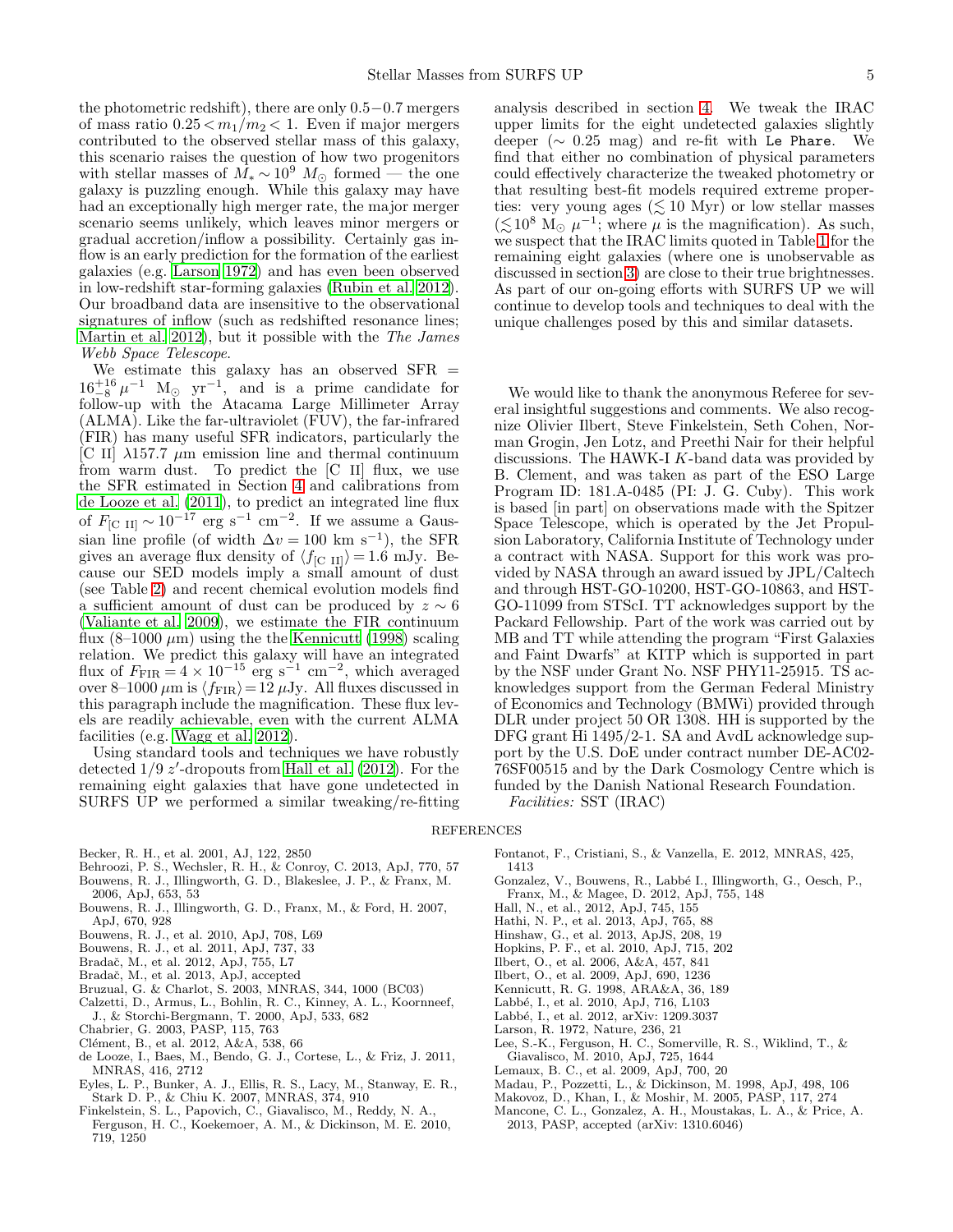the photometric redshift), there are only 0.5−0.7 mergers of mass ratio  $0.25 < m_1/m_2 < 1$ . Even if major mergers contributed to the observed stellar mass of this galaxy, this scenario raises the question of how two progenitors with stellar masses of  $\overline{M}_* \sim 10^9$   $M_{\odot}$  formed — the one galaxy is puzzling enough. While this galaxy may have had an exceptionally high merger rate, the major merger scenario seems unlikely, which leaves minor mergers or gradual accretion/inflow a possibility. Certainly gas inflow is an early prediction for the formation of the earliest galaxies (e.g. [Larson 1972\)](#page-4-28) and has even been observed in low-redshift star-forming galaxies [\(Rubin et al. 2012\)](#page-5-14). Our broadband data are insensitive to the observational signatures of inflow (such as redshifted resonance lines; [Martin et al. 2012\)](#page-5-15), but it possible with the The James Webb Space Telescope.

We estimate this galaxy has an observed SFR =  $16^{+16}_{-8} \mu^{-1}$  M<sub>☉</sub> yr<sup>-1</sup>, and is a prime candidate for follow-up with the Atacama Large Millimeter Array (ALMA). Like the far-ultraviolet (FUV), the far-infrared (FIR) has many useful SFR indicators, particularly the [C II]  $\lambda$ 157.7  $\mu$ m emission line and thermal continuum from warm dust. To predict the [C II] flux, we use the SFR estimated in Section [4](#page-2-0) and calibrations from [de Looze et al. \(2011](#page-4-29)), to predict an integrated line flux of  $F_{\rm [C \ II]} \sim 10^{-17}$  erg s<sup>-1</sup> cm<sup>-2</sup>. If we assume a Gaussian line profile (of width  $\Delta v = 100$  km s<sup>-1</sup>), the SFR gives an average flux density of  $\langle f_{\rm [C \ II]} \rangle = 1.6 \text{ mJy.}$  Because our SED models imply a small amount of dust (see Table [2\)](#page-3-1) and recent chemical evolution models find a sufficient amount of dust can be produced by  $z \sim 6$ [\(Valiante et al. 2009\)](#page-5-16), we estimate the FIR continuum flux  $(8-1000 \ \mu m)$  using the the [Kennicutt \(1998\)](#page-4-22) scaling relation. We predict this galaxy will have an integrated flux of  $F_{\text{FIR}} = 4 \times 10^{-15}$  erg s<sup>-1</sup> cm<sup>-2</sup>, which averaged over 8–1000  $\mu$ m is  $\langle f_{\rm FIR} \rangle$  = 12  $\mu$ Jy. All fluxes discussed in this paragraph include the magnification. These flux levels are readily achievable, even with the current ALMA facilities (e.g. [Wagg et al. 2012](#page-5-17)).

Using standard tools and techniques we have robustly detected  $1/9$   $z'$ -dropouts from [Hall et al. \(2012](#page-4-13)). For the remaining eight galaxies that have gone undetected in SURFS UP we performed a similar tweaking/re-fitting

analysis described in section [4.](#page-2-0) We tweak the IRAC upper limits for the eight undetected galaxies slightly deeper ( $\sim$  0.25 mag) and re-fit with Le Phare. We find that either no combination of physical parameters could effectively characterize the tweaked photometry or that resulting best-fit models required extreme properties: very young ages ( $\lesssim 10$  Myr) or low stellar masses  $(\lesssim 10^8$  M<sub>☉</sub>  $\mu^{-1}$ ; where  $\mu$  is the magnification). As such, we suspect that the IRAC limits quoted in Table [1](#page-2-1) for the remaining eight galaxies (where one is unobservable as discussed in section [3\)](#page-1-2) are close to their true brightnesses. As part of our on-going efforts with SURFS UP we will continue to develop tools and techniques to deal with the unique challenges posed by this and similar datasets.

We would like to thank the anonymous Referee for several insightful suggestions and comments. We also recognize Olivier Ilbert, Steve Finkelstein, Seth Cohen, Norman Grogin, Jen Lotz, and Preethi Nair for their helpful discussions. The HAWK-I K-band data was provided by B. Clement, and was taken as part of the ESO Large Program ID: 181.A-0485 (PI: J. G. Cuby). This work is based [in part] on observations made with the Spitzer Space Telescope, which is operated by the Jet Propulsion Laboratory, California Institute of Technology under a contract with NASA. Support for this work was provided by NASA through an award issued by JPL/Caltech and through HST-GO-10200, HST-GO-10863, and HST-GO-11099 from STScI. TT acknowledges support by the Packard Fellowship. Part of the work was carried out by MB and TT while attending the program "First Galaxies and Faint Dwarfs" at KITP which is supported in part by the NSF under Grant No. NSF PHY11-25915. TS acknowledges support from the German Federal Ministry of Economics and Technology (BMWi) provided through DLR under project 50 OR 1308. HH is supported by the DFG grant Hi 1495/2-1. SA and AvdL acknowledge support by the U.S. DoE under contract number DE-AC02- 76SF00515 and by the Dark Cosmology Centre which is funded by the Danish National Research Foundation. Facilities: SST (IRAC)

### REFERENCES

<span id="page-4-1"></span>Becker, R. H., et al. 2001, AJ, 122, 2850

- <span id="page-4-26"></span>Behroozi, P. S., Wechsler, R. H., & Conroy, C. 2013, ApJ, 770, 57 Bouwens, R. J., Illingworth, G. D., Blakeslee, J. P., & Franx, M.
- <span id="page-4-2"></span>2006, ApJ, 653, 53
- <span id="page-4-5"></span>Bouwens, R. J., Illingworth, G. D., Franx, M., & Ford, H. 2007, ApJ, 670, 928
- <span id="page-4-6"></span>Bouwens, R. J., et al. 2010, ApJ, 708, L69
- <span id="page-4-23"></span>Bouwens, R. J., et al. 2011, ApJ, 737, 33
- <span id="page-4-16"></span>Bradaˇc, M., et al. 2012, ApJ, 755, L7
- <span id="page-4-12"></span>Bradač, M., et al. 2013, ApJ, accepted
- <span id="page-4-19"></span>Bruzual, G. & Charlot, S. 2003, MNRAS, 344, 1000 (BC03)
- <span id="page-4-21"></span>Calzetti, D., Armus, L., Bohlin, R. C., Kinney, A. L., Koornneef, J., & Storchi-Bergmann, T. 2000, ApJ, 533, 682
- <span id="page-4-20"></span>Chabrier, G. 2003, PASP, 115, 763
- <span id="page-4-14"></span>Clément, B., et al. 2012, A&A, 538, 66
- <span id="page-4-29"></span>de Looze, I., Baes, M., Bendo, G. J., Cortese, L., & Friz, J. 2011, MNRAS, 416, 2712
- <span id="page-4-9"></span>Eyles, L. P., Bunker, A. J., Ellis, R. S., Lacy, M., Stanway, E. R., Stark D. P., & Chiu K. 2007, MNRAS, 374, 910
- <span id="page-4-7"></span>Finkelstein, S. L., Papovich, C., Giavalisco, M., Reddy, N. A., Ferguson, H. C., Koekemoer, A. M., & Dickinson, M. E. 2010, 719, 1250
- <span id="page-4-4"></span>Fontanot, F., Cristiani, S., & Vanzella, E. 2012, MNRAS, 425, 1413
- <span id="page-4-8"></span>Gonzalez, V., Bouwens, R., Labbé I., Illingworth, G., Oesch, P., Franx, M., & Magee, D. 2012, ApJ, 755, 148
- <span id="page-4-13"></span>Hall, N., et al., 2012, ApJ, 745, 155
- <span id="page-4-24"></span>Hathi, N. P., et al. 2013, ApJ, 765, 88
- <span id="page-4-0"></span>Hinshaw, G., et al. 2013, ApJS, 208, 19
- <span id="page-4-27"></span>Hopkins, P. F., et al. 2010, ApJ, 715, 202
- <span id="page-4-17"></span>Ilbert, O., et al. 2006, A&A, 457, 841
- <span id="page-4-18"></span>Ilbert, O., et al. 2009, ApJ, 690, 1236
- <span id="page-4-22"></span>Kennicutt, R. G. 1998, ARA&A, 36, 189
- <span id="page-4-10"></span>Labbé, I., et al. 2010, ApJ, 716, L103
- <span id="page-4-11"></span>Labbé, I., et al. 2012, arXiv: 1209.3037
- <span id="page-4-28"></span>Larson, R. 1972, Nature, 236, 21
- <span id="page-4-25"></span>Lee, S.-K., Ferguson, H. C., Somerville, R. S., Wiklind, T., & Giavalisco, M. 2010, ApJ, 725, 1644
- <span id="page-4-3"></span>Lemaux, B. C., et al. 2009, ApJ, 700, 20
- Madau, P., Pozzetti, L., & Dickinson, M. 1998, ApJ, 498, 106
- Makovoz, D., Khan, I., & Moshir, M. 2005, PASP, 117, 274
- <span id="page-4-15"></span>Mancone, C. L., Gonzalez, A. H., Moustakas, L. A., & Price, A. 2013, PASP, accepted (arXiv: 1310.6046)